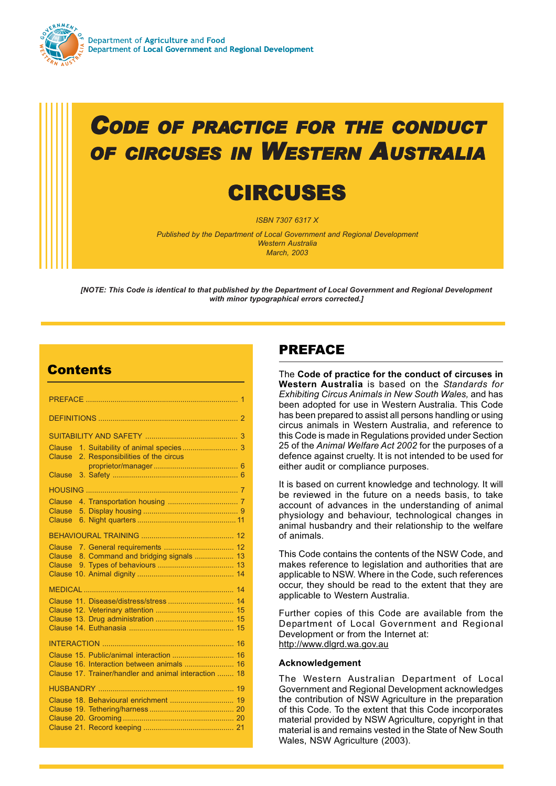

# *CODE OF PRACTICE FOR THE CONDUCT OF CIRCUSES IN WESTERN AUSTRALIA*

# **CIRCUSES**

*ISBN 7307 6317 X*

*Published by the Department of Local Government and Regional Development Western Australia March, 2003*

*[NOTE: This Code is identical to that published by the Department of Local Government and Regional Development with minor typographical errors corrected.]*

# **Contents**

| Clause<br>Clause                                                      |  |
|-----------------------------------------------------------------------|--|
| 2. Responsibilities of the circus                                     |  |
| Clause                                                                |  |
|                                                                       |  |
| Clause                                                                |  |
| Clause<br>Clause                                                      |  |
|                                                                       |  |
|                                                                       |  |
|                                                                       |  |
| 8. Command and bridging signals  13<br><b>Clause</b><br><b>Clause</b> |  |
|                                                                       |  |
|                                                                       |  |
|                                                                       |  |
|                                                                       |  |
|                                                                       |  |
|                                                                       |  |
|                                                                       |  |
| Clause 15. Public/animal interaction  16                              |  |
|                                                                       |  |
| Clause 17. Trainer/handler and animal interaction  18                 |  |
|                                                                       |  |
|                                                                       |  |
|                                                                       |  |
|                                                                       |  |
|                                                                       |  |

# PREFACE

The **Code of practice for the conduct of circuses in Western Australia** is based on the *Standards for Exhibiting Circus Animals in New South Wales,* and has been adopted for use in Western Australia. This Code has been prepared to assist all persons handling or using circus animals in Western Australia, and reference to this Code is made in Regulations provided under Section 25 of the *Animal Welfare Act 2002* for the purposes of a defence against cruelty. It is not intended to be used for either audit or compliance purposes.

It is based on current knowledge and technology. It will be reviewed in the future on a needs basis, to take account of advances in the understanding of animal physiology and behaviour, technological changes in animal husbandry and their relationship to the welfare of animals.

This Code contains the contents of the NSW Code, and makes reference to legislation and authorities that are applicable to NSW. Where in the Code, such references occur, they should be read to the extent that they are applicable to Western Australia.

Further copies of this Code are available from the Department of Local Government and Regional Development or from the Internet at: http://www.dlgrd.wa.gov.au

### **Acknowledgement**

The Western Australian Department of Local Government and Regional Development acknowledges the contribution of NSW Agriculture in the preparation of this Code. To the extent that this Code incorporates material provided by NSW Agriculture, copyright in that material is and remains vested in the State of New South Wales, NSW Agriculture (2003).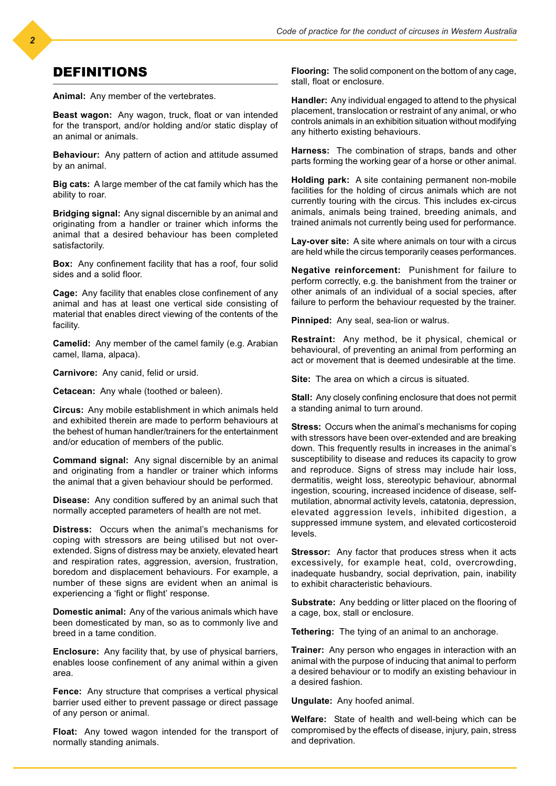### DEFINITIONS

**Animal:** Any member of the vertebrates.

**Beast wagon:** Any wagon, truck, float or van intended for the transport, and/or holding and/or static display of an animal or animals.

**Behaviour:** Any pattern of action and attitude assumed by an animal.

**Big cats:** A large member of the cat family which has the ability to roar.

**Bridging signal:** Any signal discernible by an animal and originating from a handler or trainer which informs the animal that a desired behaviour has been completed satisfactorily.

**Box:** Any confinement facility that has a roof, four solid sides and a solid floor.

**Cage:** Any facility that enables close confinement of any animal and has at least one vertical side consisting of material that enables direct viewing of the contents of the facility.

**Camelid:** Any member of the camel family (e.g. Arabian camel, llama, alpaca).

**Carnivore:** Any canid, felid or ursid.

**Cetacean:** Any whale (toothed or baleen).

**Circus:** Any mobile establishment in which animals held and exhibited therein are made to perform behaviours at the behest of human handler/trainers for the entertainment and/or education of members of the public.

**Command signal:** Any signal discernible by an animal and originating from a handler or trainer which informs the animal that a given behaviour should be performed.

**Disease:** Any condition suffered by an animal such that normally accepted parameters of health are not met.

**Distress:** Occurs when the animal's mechanisms for coping with stressors are being utilised but not overextended. Signs of distress may be anxiety, elevated heart and respiration rates, aggression, aversion, frustration, boredom and displacement behaviours. For example, a number of these signs are evident when an animal is experiencing a 'fight or flight' response.

**Domestic animal:** Any of the various animals which have been domesticated by man, so as to commonly live and breed in a tame condition.

**Enclosure:** Any facility that, by use of physical barriers, enables loose confinement of any animal within a given area.

**Fence:** Any structure that comprises a vertical physical barrier used either to prevent passage or direct passage of any person or animal.

**Float:** Any towed wagon intended for the transport of normally standing animals.

**Flooring:** The solid component on the bottom of any cage, stall, float or enclosure.

**Handler:** Any individual engaged to attend to the physical placement, translocation or restraint of any animal, or who controls animals in an exhibition situation without modifying any hitherto existing behaviours.

**Harness:** The combination of straps, bands and other parts forming the working gear of a horse or other animal.

**Holding park:** A site containing permanent non-mobile facilities for the holding of circus animals which are not currently touring with the circus. This includes ex-circus animals, animals being trained, breeding animals, and trained animals not currently being used for performance.

**Lay-over site:** A site where animals on tour with a circus are held while the circus temporarily ceases performances.

**Negative reinforcement:** Punishment for failure to perform correctly, e.g. the banishment from the trainer or other animals of an individual of a social species, after failure to perform the behaviour requested by the trainer.

**Pinniped:** Any seal, sea-lion or walrus.

**Restraint:** Any method, be it physical, chemical or behavioural, of preventing an animal from performing an act or movement that is deemed undesirable at the time.

**Site:** The area on which a circus is situated.

**Stall:** Any closely confining enclosure that does not permit a standing animal to turn around.

**Stress:** Occurs when the animal's mechanisms for coping with stressors have been over-extended and are breaking down. This frequently results in increases in the animal's susceptibility to disease and reduces its capacity to grow and reproduce. Signs of stress may include hair loss, dermatitis, weight loss, stereotypic behaviour, abnormal ingestion, scouring, increased incidence of disease, selfmutilation, abnormal activity levels, catatonia, depression, elevated aggression levels, inhibited digestion, a suppressed immune system, and elevated corticosteroid levels.

**Stressor:** Any factor that produces stress when it acts excessively, for example heat, cold, overcrowding, inadequate husbandry, social deprivation, pain, inability to exhibit characteristic behaviours.

**Substrate:** Any bedding or litter placed on the flooring of a cage, box, stall or enclosure.

**Tethering:** The tying of an animal to an anchorage.

**Trainer:** Any person who engages in interaction with an animal with the purpose of inducing that animal to perform a desired behaviour or to modify an existing behaviour in a desired fashion.

**Ungulate:** Any hoofed animal.

**Welfare:** State of health and well-being which can be compromised by the effects of disease, injury, pain, stress and deprivation.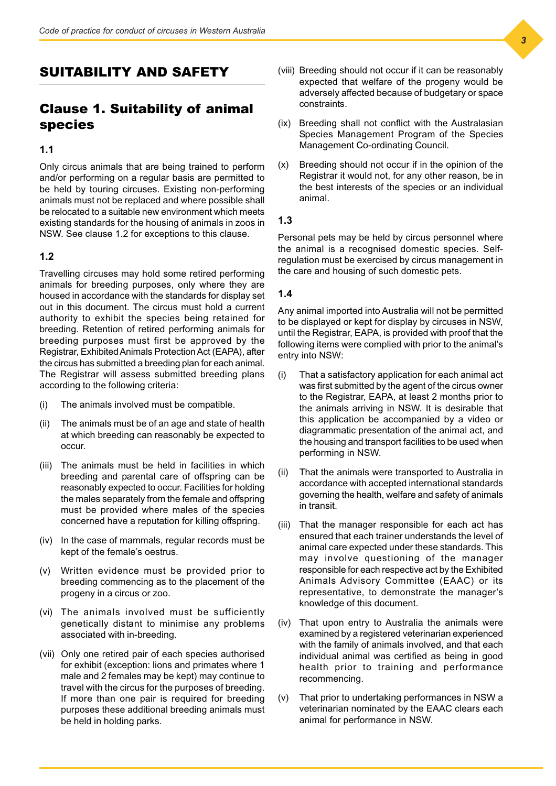# SUITABILITY AND SAFETY

# Clause 1. Suitability of animal species

### **1.1**

Only circus animals that are being trained to perform and/or performing on a regular basis are permitted to be held by touring circuses. Existing non-performing animals must not be replaced and where possible shall be relocated to a suitable new environment which meets existing standards for the housing of animals in zoos in NSW. See clause 1.2 for exceptions to this clause.

### **1.2**

Travelling circuses may hold some retired performing animals for breeding purposes, only where they are housed in accordance with the standards for display set out in this document. The circus must hold a current authority to exhibit the species being retained for breeding. Retention of retired performing animals for breeding purposes must first be approved by the Registrar, Exhibited Animals Protection Act (EAPA), after the circus has submitted a breeding plan for each animal. The Registrar will assess submitted breeding plans according to the following criteria:

- (i) The animals involved must be compatible.
- (ii) The animals must be of an age and state of health at which breeding can reasonably be expected to occur.
- (iii) The animals must be held in facilities in which breeding and parental care of offspring can be reasonably expected to occur. Facilities for holding the males separately from the female and offspring must be provided where males of the species concerned have a reputation for killing offspring.
- (iv) In the case of mammals, regular records must be kept of the female's oestrus.
- (v) Written evidence must be provided prior to breeding commencing as to the placement of the progeny in a circus or zoo.
- (vi) The animals involved must be sufficiently genetically distant to minimise any problems associated with in-breeding.
- (vii) Only one retired pair of each species authorised for exhibit (exception: lions and primates where 1 male and 2 females may be kept) may continue to travel with the circus for the purposes of breeding. If more than one pair is required for breeding purposes these additional breeding animals must be held in holding parks.
- (viii) Breeding should not occur if it can be reasonably expected that welfare of the progeny would be adversely affected because of budgetary or space constraints.
- (ix) Breeding shall not conflict with the Australasian Species Management Program of the Species Management Co-ordinating Council.
- (x) Breeding should not occur if in the opinion of the Registrar it would not, for any other reason, be in the best interests of the species or an individual animal.

### **1.3**

Personal pets may be held by circus personnel where the animal is a recognised domestic species. Selfregulation must be exercised by circus management in the care and housing of such domestic pets.

### **1.4**

Any animal imported into Australia will not be permitted to be displayed or kept for display by circuses in NSW, until the Registrar, EAPA, is provided with proof that the following items were complied with prior to the animal's entry into NSW:

- (i) That a satisfactory application for each animal act was first submitted by the agent of the circus owner to the Registrar, EAPA, at least 2 months prior to the animals arriving in NSW. It is desirable that this application be accompanied by a video or diagrammatic presentation of the animal act, and the housing and transport facilities to be used when performing in NSW.
- (ii) That the animals were transported to Australia in accordance with accepted international standards governing the health, welfare and safety of animals in transit.
- (iii) That the manager responsible for each act has ensured that each trainer understands the level of animal care expected under these standards. This may involve questioning of the manager responsible for each respective act by the Exhibited Animals Advisory Committee (EAAC) or its representative, to demonstrate the manager's knowledge of this document.
- (iv) That upon entry to Australia the animals were examined by a registered veterinarian experienced with the family of animals involved, and that each individual animal was certified as being in good health prior to training and performance recommencing.
- (v) That prior to undertaking performances in NSW a veterinarian nominated by the EAAC clears each animal for performance in NSW.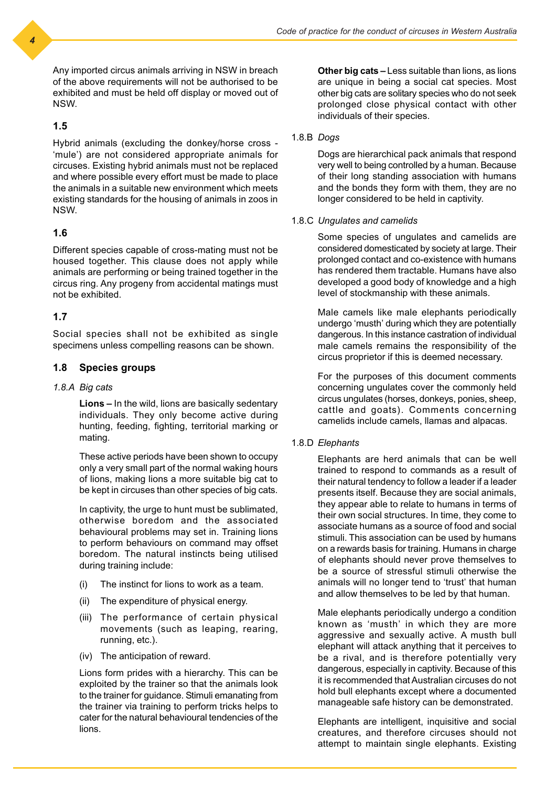Any imported circus animals arriving in NSW in breach of the above requirements will not be authorised to be exhibited and must be held off display or moved out of NSW.

### **1.5**

Hybrid animals (excluding the donkey/horse cross - 'mule') are not considered appropriate animals for circuses. Existing hybrid animals must not be replaced and where possible every effort must be made to place the animals in a suitable new environment which meets existing standards for the housing of animals in zoos in NSW.

### **1.6**

Different species capable of cross-mating must not be housed together. This clause does not apply while animals are performing or being trained together in the circus ring. Any progeny from accidental matings must not be exhibited.

### **1.7**

Social species shall not be exhibited as single specimens unless compelling reasons can be shown.

### **1.8 Species groups**

### *1.8.A Big cats*

**Lions –** In the wild, lions are basically sedentary individuals. They only become active during hunting, feeding, fighting, territorial marking or mating.

These active periods have been shown to occupy only a very small part of the normal waking hours of lions, making lions a more suitable big cat to be kept in circuses than other species of big cats.

In captivity, the urge to hunt must be sublimated, otherwise boredom and the associated behavioural problems may set in. Training lions to perform behaviours on command may offset boredom. The natural instincts being utilised during training include:

- (i) The instinct for lions to work as a team.
- (ii) The expenditure of physical energy.
- (iii) The performance of certain physical movements (such as leaping, rearing, running, etc.).
- (iv) The anticipation of reward.

Lions form prides with a hierarchy. This can be exploited by the trainer so that the animals look to the trainer for guidance. Stimuli emanating from the trainer via training to perform tricks helps to cater for the natural behavioural tendencies of the lions.

**Other big cats –** Less suitable than lions, as lions are unique in being a social cat species. Most other big cats are solitary species who do not seek prolonged close physical contact with other individuals of their species.

### 1.8.B *Dogs*

Dogs are hierarchical pack animals that respond very well to being controlled by a human. Because of their long standing association with humans and the bonds they form with them, they are no longer considered to be held in captivity.

#### 1.8.C *Ungulates and camelids*

Some species of ungulates and camelids are considered domesticated by society at large. Their prolonged contact and co-existence with humans has rendered them tractable. Humans have also developed a good body of knowledge and a high level of stockmanship with these animals.

Male camels like male elephants periodically undergo 'musth' during which they are potentially dangerous. In this instance castration of individual male camels remains the responsibility of the circus proprietor if this is deemed necessary.

For the purposes of this document comments concerning ungulates cover the commonly held circus ungulates (horses, donkeys, ponies, sheep, cattle and goats). Comments concerning camelids include camels, llamas and alpacas.

#### 1.8.D *Elephants*

Elephants are herd animals that can be well trained to respond to commands as a result of their natural tendency to follow a leader if a leader presents itself. Because they are social animals, they appear able to relate to humans in terms of their own social structures. In time, they come to associate humans as a source of food and social stimuli. This association can be used by humans on a rewards basis for training. Humans in charge of elephants should never prove themselves to be a source of stressful stimuli otherwise the animals will no longer tend to 'trust' that human and allow themselves to be led by that human.

Male elephants periodically undergo a condition known as 'musth' in which they are more aggressive and sexually active. A musth bull elephant will attack anything that it perceives to be a rival, and is therefore potentially very dangerous, especially in captivity. Because of this it is recommended that Australian circuses do not hold bull elephants except where a documented manageable safe history can be demonstrated.

Elephants are intelligent, inquisitive and social creatures, and therefore circuses should not attempt to maintain single elephants. Existing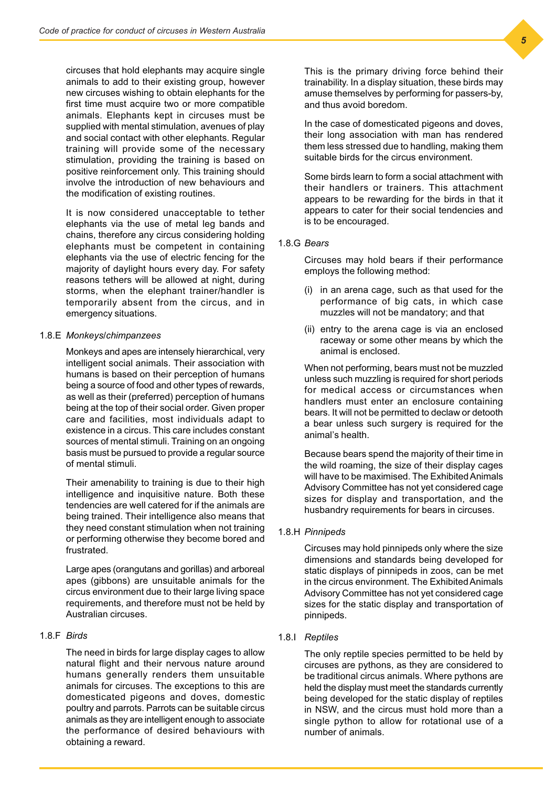circuses that hold elephants may acquire single animals to add to their existing group, however new circuses wishing to obtain elephants for the first time must acquire two or more compatible animals. Elephants kept in circuses must be supplied with mental stimulation, avenues of play and social contact with other elephants. Regular training will provide some of the necessary stimulation, providing the training is based on positive reinforcement only. This training should involve the introduction of new behaviours and the modification of existing routines.

It is now considered unacceptable to tether elephants via the use of metal leg bands and chains, therefore any circus considering holding elephants must be competent in containing elephants via the use of electric fencing for the majority of daylight hours every day. For safety reasons tethers will be allowed at night, during storms, when the elephant trainer/handler is temporarily absent from the circus, and in emergency situations.

#### 1.8.E *Monkeys/chimpanzees*

Monkeys and apes are intensely hierarchical, very intelligent social animals. Their association with humans is based on their perception of humans being a source of food and other types of rewards, as well as their (preferred) perception of humans being at the top of their social order. Given proper care and facilities, most individuals adapt to existence in a circus. This care includes constant sources of mental stimuli. Training on an ongoing basis must be pursued to provide a regular source of mental stimuli.

Their amenability to training is due to their high intelligence and inquisitive nature. Both these tendencies are well catered for if the animals are being trained. Their intelligence also means that they need constant stimulation when not training or performing otherwise they become bored and frustrated.

Large apes (orangutans and gorillas) and arboreal apes (gibbons) are unsuitable animals for the circus environment due to their large living space requirements, and therefore must not be held by Australian circuses.

### 1.8.F *Birds*

The need in birds for large display cages to allow natural flight and their nervous nature around humans generally renders them unsuitable animals for circuses. The exceptions to this are domesticated pigeons and doves, domestic poultry and parrots. Parrots can be suitable circus animals as they are intelligent enough to associate the performance of desired behaviours with obtaining a reward.

This is the primary driving force behind their trainability. In a display situation, these birds may amuse themselves by performing for passers-by, and thus avoid boredom.

In the case of domesticated pigeons and doves, their long association with man has rendered them less stressed due to handling, making them suitable birds for the circus environment.

Some birds learn to form a social attachment with their handlers or trainers. This attachment appears to be rewarding for the birds in that it appears to cater for their social tendencies and is to be encouraged.

### 1.8.G *Bears*

Circuses may hold bears if their performance employs the following method:

- (i) in an arena cage, such as that used for the performance of big cats, in which case muzzles will not be mandatory; and that
- (ii) entry to the arena cage is via an enclosed raceway or some other means by which the animal is enclosed.

When not performing, bears must not be muzzled unless such muzzling is required for short periods for medical access or circumstances when handlers must enter an enclosure containing bears. It will not be permitted to declaw or detooth a bear unless such surgery is required for the animal's health.

Because bears spend the majority of their time in the wild roaming, the size of their display cages will have to be maximised. The Exhibited Animals Advisory Committee has not yet considered cage sizes for display and transportation, and the husbandry requirements for bears in circuses.

#### 1.8.H *Pinnipeds*

Circuses may hold pinnipeds only where the size dimensions and standards being developed for static displays of pinnipeds in zoos, can be met in the circus environment. The Exhibited Animals Advisory Committee has not yet considered cage sizes for the static display and transportation of pinnipeds.

### 1.8.I *Reptiles*

The only reptile species permitted to be held by circuses are pythons, as they are considered to be traditional circus animals. Where pythons are held the display must meet the standards currently being developed for the static display of reptiles in NSW, and the circus must hold more than a single python to allow for rotational use of a number of animals.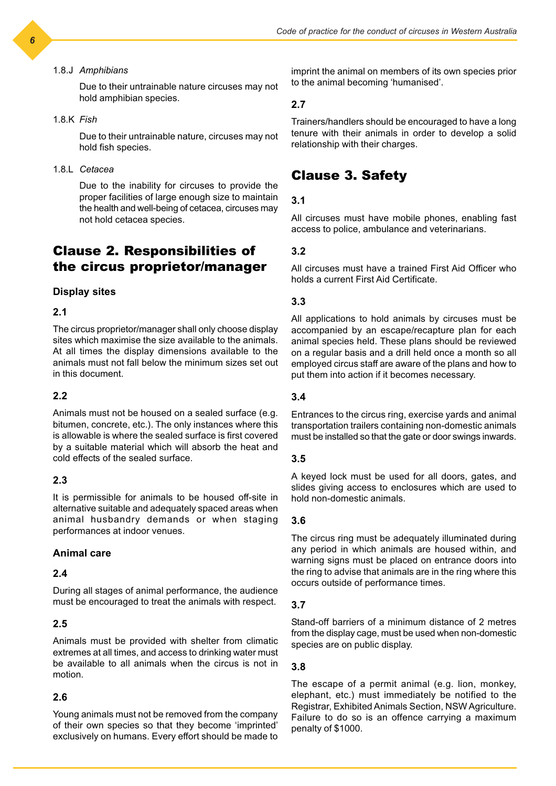#### 1.8.J *Amphibians*

Due to their untrainable nature circuses may not hold amphibian species.

#### 1.8.K *Fish*

Due to their untrainable nature, circuses may not hold fish species.

### 1.8.L *Cetacea*

Due to the inability for circuses to provide the proper facilities of large enough size to maintain the health and well-being of cetacea, circuses may not hold cetacea species.

# Clause 2. Responsibilities of the circus proprietor/manager

### **Display sites**

### **2.1**

The circus proprietor/manager shall only choose display sites which maximise the size available to the animals. At all times the display dimensions available to the animals must not fall below the minimum sizes set out in this document.

### **2.2**

Animals must not be housed on a sealed surface (e.g. bitumen, concrete, etc.). The only instances where this is allowable is where the sealed surface is first covered by a suitable material which will absorb the heat and cold effects of the sealed surface.

### **2.3**

It is permissible for animals to be housed off-site in alternative suitable and adequately spaced areas when animal husbandry demands or when staging performances at indoor venues.

### **Animal care**

### **2.4**

During all stages of animal performance, the audience must be encouraged to treat the animals with respect.

### **2.5**

Animals must be provided with shelter from climatic extremes at all times, and access to drinking water must be available to all animals when the circus is not in motion.

### **2.6**

Young animals must not be removed from the company of their own species so that they become 'imprinted' exclusively on humans. Every effort should be made to

imprint the animal on members of its own species prior to the animal becoming 'humanised'.

### **2.7**

Trainers/handlers should be encouraged to have a long tenure with their animals in order to develop a solid relationship with their charges.

### Clause 3. Safety

### **3.1**

All circuses must have mobile phones, enabling fast access to police, ambulance and veterinarians.

### **3.2**

All circuses must have a trained First Aid Officer who holds a current First Aid Certificate.

### **3.3**

All applications to hold animals by circuses must be accompanied by an escape/recapture plan for each animal species held. These plans should be reviewed on a regular basis and a drill held once a month so all employed circus staff are aware of the plans and how to put them into action if it becomes necessary.

#### **3.4**

Entrances to the circus ring, exercise yards and animal transportation trailers containing non-domestic animals must be installed so that the gate or door swings inwards.

#### **3.5**

A keyed lock must be used for all doors, gates, and slides giving access to enclosures which are used to hold non-domestic animals.

#### **3.6**

The circus ring must be adequately illuminated during any period in which animals are housed within, and warning signs must be placed on entrance doors into the ring to advise that animals are in the ring where this occurs outside of performance times.

#### **3.7**

Stand-off barriers of a minimum distance of 2 metres from the display cage, must be used when non-domestic species are on public display.

#### **3.8**

The escape of a permit animal (e.g. lion, monkey, elephant, etc.) must immediately be notified to the Registrar, Exhibited Animals Section, NSW Agriculture. Failure to do so is an offence carrying a maximum penalty of \$1000.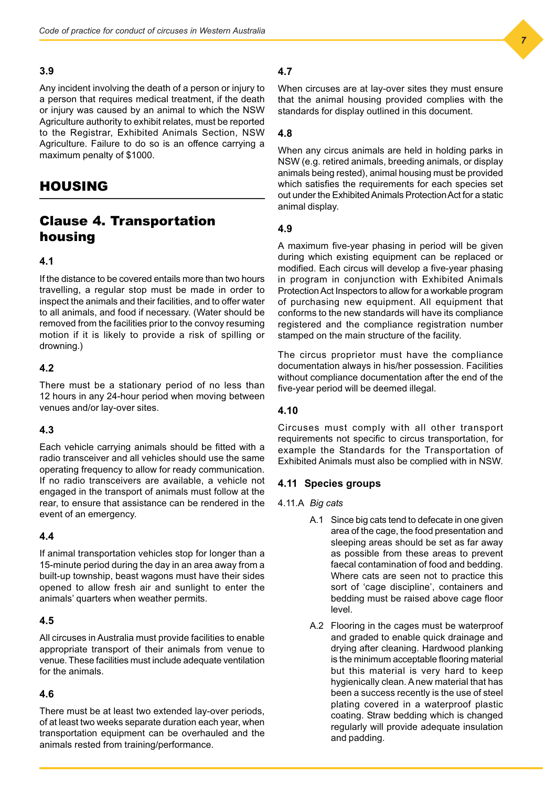#### **3.9**

Any incident involving the death of a person or injury to a person that requires medical treatment, if the death or injury was caused by an animal to which the NSW Agriculture authority to exhibit relates, must be reported to the Registrar, Exhibited Animals Section, NSW Agriculture. Failure to do so is an offence carrying a maximum penalty of \$1000.

# HOUSING

# Clause 4. Transportation housing

### **4.1**

If the distance to be covered entails more than two hours travelling, a regular stop must be made in order to inspect the animals and their facilities, and to offer water to all animals, and food if necessary. (Water should be removed from the facilities prior to the convoy resuming motion if it is likely to provide a risk of spilling or drowning.)

### **4.2**

There must be a stationary period of no less than 12 hours in any 24-hour period when moving between venues and/or lay-over sites.

### **4.3**

Each vehicle carrying animals should be fitted with a radio transceiver and all vehicles should use the same operating frequency to allow for ready communication. If no radio transceivers are available, a vehicle not engaged in the transport of animals must follow at the rear, to ensure that assistance can be rendered in the event of an emergency.

### **4.4**

If animal transportation vehicles stop for longer than a 15-minute period during the day in an area away from a built-up township, beast wagons must have their sides opened to allow fresh air and sunlight to enter the animals' quarters when weather permits.

### **4.5**

All circuses in Australia must provide facilities to enable appropriate transport of their animals from venue to venue. These facilities must include adequate ventilation for the animals.

### **4.6**

There must be at least two extended lay-over periods, of at least two weeks separate duration each year, when transportation equipment can be overhauled and the animals rested from training/performance.

### **4.7**

When circuses are at lay-over sites they must ensure that the animal housing provided complies with the standards for display outlined in this document.

### **4.8**

When any circus animals are held in holding parks in NSW (e.g. retired animals, breeding animals, or display animals being rested), animal housing must be provided which satisfies the requirements for each species set out under the Exhibited Animals Protection Act for a static animal display.

### **4.9**

A maximum five-year phasing in period will be given during which existing equipment can be replaced or modified. Each circus will develop a five-year phasing in program in conjunction with Exhibited Animals Protection Act Inspectors to allow for a workable program of purchasing new equipment. All equipment that conforms to the new standards will have its compliance registered and the compliance registration number stamped on the main structure of the facility.

The circus proprietor must have the compliance documentation always in his/her possession. Facilities without compliance documentation after the end of the five-year period will be deemed illegal.

### **4.10**

Circuses must comply with all other transport requirements not specific to circus transportation, for example the Standards for the Transportation of Exhibited Animals must also be complied with in NSW.

### **4.11 Species groups**

4.11.A *Big cats*

- A.1 Since big cats tend to defecate in one given area of the cage, the food presentation and sleeping areas should be set as far away as possible from these areas to prevent faecal contamination of food and bedding. Where cats are seen not to practice this sort of 'cage discipline', containers and bedding must be raised above cage floor level.
- A.2 Flooring in the cages must be waterproof and graded to enable quick drainage and drying after cleaning. Hardwood planking is the minimum acceptable flooring material but this material is very hard to keep hygienically clean. A new material that has been a success recently is the use of steel plating covered in a waterproof plastic coating. Straw bedding which is changed regularly will provide adequate insulation and padding.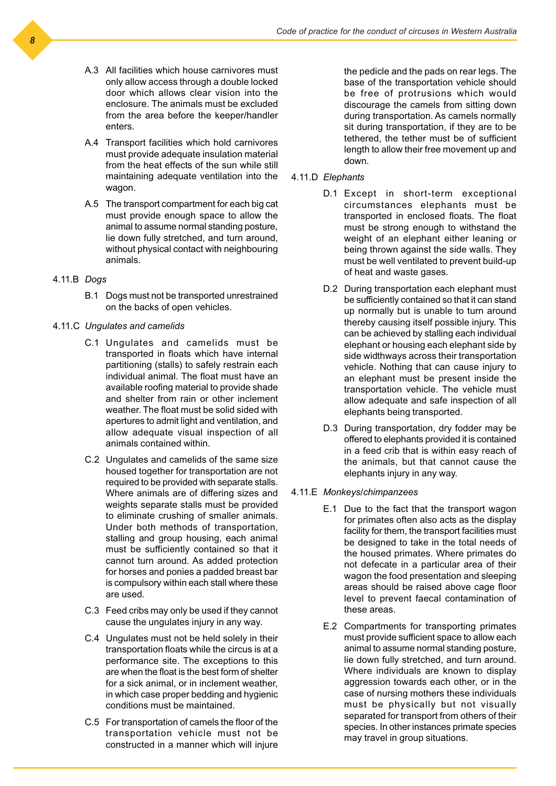- A.3 All facilities which house carnivores must only allow access through a double locked door which allows clear vision into the enclosure. The animals must be excluded from the area before the keeper/handler enters.
- A.4 Transport facilities which hold carnivores must provide adequate insulation material from the heat effects of the sun while still maintaining adequate ventilation into the wagon.
- A.5 The transport compartment for each big cat must provide enough space to allow the animal to assume normal standing posture, lie down fully stretched, and turn around, without physical contact with neighbouring animals.
- 4.11.B *Dogs*
	- B.1 Dogs must not be transported unrestrained on the backs of open vehicles.
- 4.11.C *Ungulates and camelids*
	- C.1 Ungulates and camelids must be transported in floats which have internal partitioning (stalls) to safely restrain each individual animal. The float must have an available roofing material to provide shade and shelter from rain or other inclement weather. The float must be solid sided with apertures to admit light and ventilation, and allow adequate visual inspection of all animals contained within.
	- C.2 Ungulates and camelids of the same size housed together for transportation are not required to be provided with separate stalls. Where animals are of differing sizes and weights separate stalls must be provided to eliminate crushing of smaller animals. Under both methods of transportation, stalling and group housing, each animal must be sufficiently contained so that it cannot turn around. As added protection for horses and ponies a padded breast bar is compulsory within each stall where these are used.
	- C.3 Feed cribs may only be used if they cannot cause the ungulates injury in any way.
	- C.4 Ungulates must not be held solely in their transportation floats while the circus is at a performance site. The exceptions to this are when the float is the best form of shelter for a sick animal, or in inclement weather, in which case proper bedding and hygienic conditions must be maintained.
	- C.5 For transportation of camels the floor of the transportation vehicle must not be constructed in a manner which will injure

the pedicle and the pads on rear legs. The base of the transportation vehicle should be free of protrusions which would discourage the camels from sitting down during transportation. As camels normally sit during transportation, if they are to be tethered, the tether must be of sufficient length to allow their free movement up and down.

- 4.11.D *Elephants*
	- D.1 Except in short-term exceptional circumstances elephants must be transported in enclosed floats. The float must be strong enough to withstand the weight of an elephant either leaning or being thrown against the side walls. They must be well ventilated to prevent build-up of heat and waste gases.
	- D.2 During transportation each elephant must be sufficiently contained so that it can stand up normally but is unable to turn around thereby causing itself possible injury. This can be achieved by stalling each individual elephant or housing each elephant side by side widthways across their transportation vehicle. Nothing that can cause injury to an elephant must be present inside the transportation vehicle. The vehicle must allow adequate and safe inspection of all elephants being transported.
	- D.3 During transportation, dry fodder may be offered to elephants provided it is contained in a feed crib that is within easy reach of the animals, but that cannot cause the elephants injury in any way.
- 4.11.E *Monkeys/chimpanzees*
	- E.1 Due to the fact that the transport wagon for primates often also acts as the display facility for them, the transport facilities must be designed to take in the total needs of the housed primates. Where primates do not defecate in a particular area of their wagon the food presentation and sleeping areas should be raised above cage floor level to prevent faecal contamination of these areas.
	- E.2 Compartments for transporting primates must provide sufficient space to allow each animal to assume normal standing posture, lie down fully stretched, and turn around. Where individuals are known to display aggression towards each other, or in the case of nursing mothers these individuals must be physically but not visually separated for transport from others of their species. In other instances primate species may travel in group situations.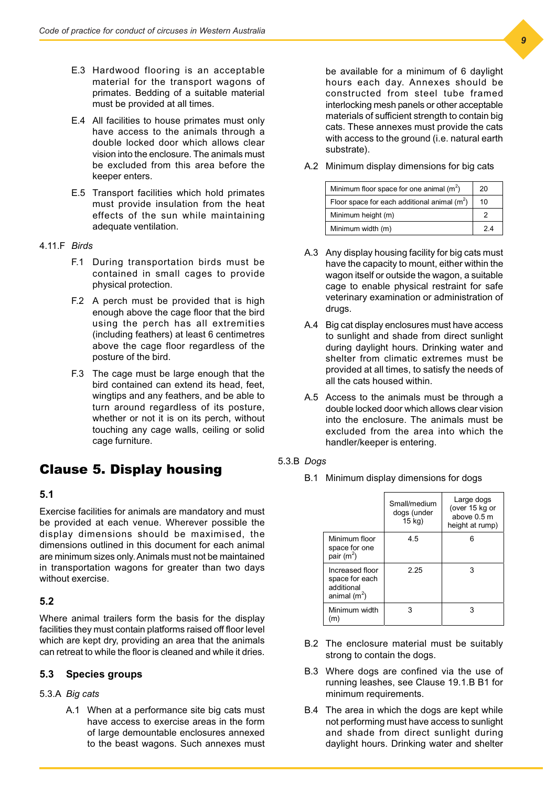- E.3 Hardwood flooring is an acceptable material for the transport wagons of primates. Bedding of a suitable material must be provided at all times.
- E.4 All facilities to house primates must only have access to the animals through a double locked door which allows clear vision into the enclosure. The animals must be excluded from this area before the keeper enters.
- E.5 Transport facilities which hold primates must provide insulation from the heat effects of the sun while maintaining adequate ventilation.
- 4.11.F *Birds*
	- F.1 During transportation birds must be contained in small cages to provide physical protection.
	- F.2 A perch must be provided that is high enough above the cage floor that the bird using the perch has all extremities (including feathers) at least 6 centimetres above the cage floor regardless of the posture of the bird.
	- F.3 The cage must be large enough that the bird contained can extend its head, feet, wingtips and any feathers, and be able to turn around regardless of its posture, whether or not it is on its perch, without touching any cage walls, ceiling or solid cage furniture.

# Clause 5. Display housing

### **5.1**

Exercise facilities for animals are mandatory and must be provided at each venue. Wherever possible the display dimensions should be maximised, the dimensions outlined in this document for each animal are minimum sizes only. Animals must not be maintained in transportation wagons for greater than two days without exercise.

### **5.2**

Where animal trailers form the basis for the display facilities they must contain platforms raised off floor level which are kept dry, providing an area that the animals can retreat to while the floor is cleaned and while it dries.

### **5.3 Species groups**

#### 5.3.A *Big cats*

A.1 When at a performance site big cats must have access to exercise areas in the form of large demountable enclosures annexed to the beast wagons. Such annexes must

be available for a minimum of 6 daylight hours each day. Annexes should be constructed from steel tube framed interlocking mesh panels or other acceptable materials of sufficient strength to contain big cats. These annexes must provide the cats with access to the ground (i.e. natural earth substrate).

A.2 Minimum display dimensions for big cats

| Minimum floor space for one animal $(m2)$      | 20 |
|------------------------------------------------|----|
| Floor space for each additional animal $(m^2)$ | 10 |
| Minimum height (m)                             |    |
| Minimum width (m)                              | 24 |

- A.3 Any display housing facility for big cats must have the capacity to mount, either within the wagon itself or outside the wagon, a suitable cage to enable physical restraint for safe veterinary examination or administration of drugs.
- A.4 Big cat display enclosures must have access to sunlight and shade from direct sunlight during daylight hours. Drinking water and shelter from climatic extremes must be provided at all times, to satisfy the needs of all the cats housed within.
- A.5 Access to the animals must be through a double locked door which allows clear vision into the enclosure. The animals must be excluded from the area into which the handler/keeper is entering.
- 5.3.B *Dogs*
	- B.1 Minimum display dimensions for dogs

|                                                                   | Small/medium<br>dogs (under<br>$15$ kg) | Large dogs<br>(over 15 kg or<br>above 0.5 m<br>height at rump) |
|-------------------------------------------------------------------|-----------------------------------------|----------------------------------------------------------------|
| Minimum floor<br>space for one<br>pair (m <sup>2</sup> )          | 4.5                                     |                                                                |
| Increased floor<br>space for each<br>additional<br>animal $(m^2)$ | 2.25                                    | З                                                              |
| Minimum width<br>m                                                | 3                                       | З                                                              |

- B.2 The enclosure material must be suitably strong to contain the dogs.
- B.3 Where dogs are confined via the use of running leashes, see Clause 19.1.B B1 for minimum requirements.
- B.4 The area in which the dogs are kept while not performing must have access to sunlight and shade from direct sunlight during daylight hours. Drinking water and shelter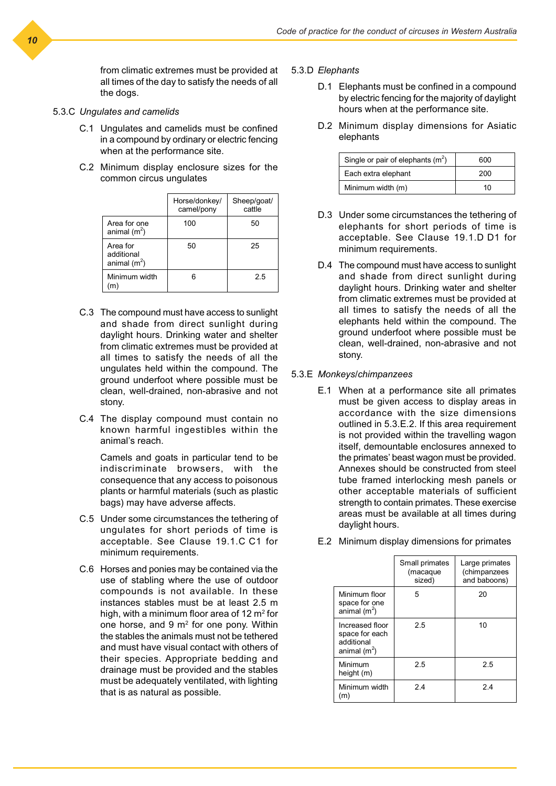from climatic extremes must be provided at all times of the day to satisfy the needs of all the dogs.

- 5.3.C *Ungulates and camelids*
	- C.1 Ungulates and camelids must be confined in a compound by ordinary or electric fencing when at the performance site.
	- C.2 Minimum display enclosure sizes for the common circus ungulates

|                                          | Horse/donkey/<br>camel/pony | Sheep/goat/<br>cattle |
|------------------------------------------|-----------------------------|-----------------------|
| Area for one<br>animal $(m^2)$           | 100                         | 50                    |
| Area for<br>additional<br>animal $(m^2)$ | 50                          | 25                    |
| Minimum width<br>m                       | հ                           | 2.5                   |

- C.3 The compound must have access to sunlight and shade from direct sunlight during daylight hours. Drinking water and shelter from climatic extremes must be provided at all times to satisfy the needs of all the ungulates held within the compound. The ground underfoot where possible must be clean, well-drained, non-abrasive and not stony.
- C.4 The display compound must contain no known harmful ingestibles within the animal's reach.

Camels and goats in particular tend to be indiscriminate browsers, with the consequence that any access to poisonous plants or harmful materials (such as plastic bags) may have adverse affects.

- C.5 Under some circumstances the tethering of ungulates for short periods of time is acceptable. See Clause 19.1.C C1 for minimum requirements.
- C.6 Horses and ponies may be contained via the use of stabling where the use of outdoor compounds is not available. In these instances stables must be at least 2.5 m high, with a minimum floor area of 12 m $^{\rm 2}$  for one horse, and 9 m<sup>2</sup> for one pony. Within the stables the animals must not be tethered and must have visual contact with others of their species. Appropriate bedding and drainage must be provided and the stables must be adequately ventilated, with lighting that is as natural as possible.
- 5.3.D *Elephants*
	- D.1 Elephants must be confined in a compound by electric fencing for the majority of daylight hours when at the performance site.
	- D.2 Minimum display dimensions for Asiatic elephants

| Single or pair of elephants $(m^2)$ | 600 |
|-------------------------------------|-----|
| Each extra elephant                 | 200 |
| Minimum width (m)                   | 10  |

- D.3 Under some circumstances the tethering of elephants for short periods of time is acceptable. See Clause 19.1.D D1 for minimum requirements.
- D.4 The compound must have access to sunlight and shade from direct sunlight during daylight hours. Drinking water and shelter from climatic extremes must be provided at all times to satisfy the needs of all the elephants held within the compound. The ground underfoot where possible must be clean, well-drained, non-abrasive and not stony.

#### 5.3.E *Monkeys/chimpanzees*

E.1 When at a performance site all primates must be given access to display areas in accordance with the size dimensions outlined in 5.3.E.2. If this area requirement is not provided within the travelling wagon itself, demountable enclosures annexed to the primates' beast wagon must be provided. Annexes should be constructed from steel tube framed interlocking mesh panels or other acceptable materials of sufficient strength to contain primates. These exercise areas must be available at all times during daylight hours.

|                                                                   | Small primates<br>(macaque<br>sized) | Large primates<br>(chimpanzees<br>and baboons) |
|-------------------------------------------------------------------|--------------------------------------|------------------------------------------------|
| Minimum floor<br>space for one<br>$\sin$ mal (m <sup>2</sup> )    | 5                                    | 20                                             |
| Increased floor<br>space for each<br>additional<br>animal $(m^2)$ | 2.5                                  | 10                                             |
| Minimum<br>height (m)                                             | 2.5                                  | 2.5                                            |
| Minimum width<br>(m)                                              | 24                                   | 24                                             |

E.2 Minimum display dimensions for primates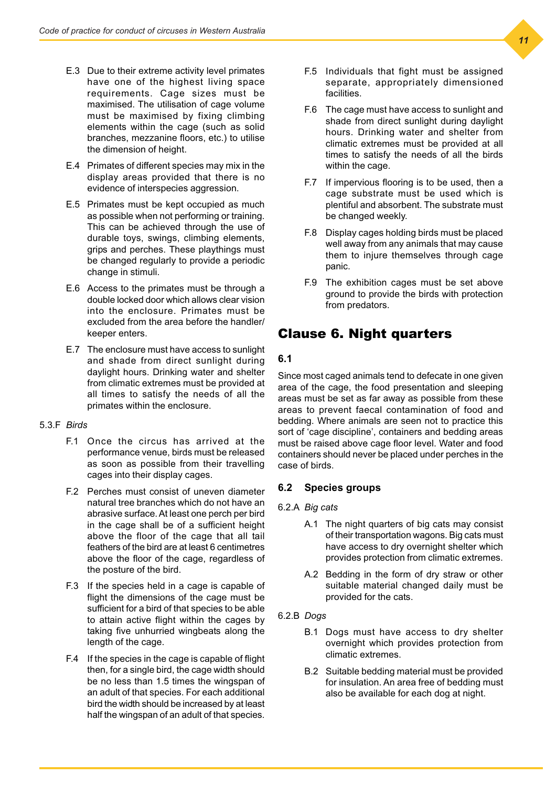- E.3 Due to their extreme activity level primates have one of the highest living space requirements. Cage sizes must be maximised. The utilisation of cage volume must be maximised by fixing climbing elements within the cage (such as solid branches, mezzanine floors, etc.) to utilise the dimension of height.
- E.4 Primates of different species may mix in the display areas provided that there is no evidence of interspecies aggression.
- E.5 Primates must be kept occupied as much as possible when not performing or training. This can be achieved through the use of durable toys, swings, climbing elements, grips and perches. These playthings must be changed regularly to provide a periodic change in stimuli.
- E.6 Access to the primates must be through a double locked door which allows clear vision into the enclosure. Primates must be excluded from the area before the handler/ keeper enters.
- E.7 The enclosure must have access to sunlight and shade from direct sunlight during daylight hours. Drinking water and shelter from climatic extremes must be provided at all times to satisfy the needs of all the primates within the enclosure.

### 5.3.F *Birds*

- F.1 Once the circus has arrived at the performance venue, birds must be released as soon as possible from their travelling cages into their display cages.
- F.2 Perches must consist of uneven diameter natural tree branches which do not have an abrasive surface. At least one perch per bird in the cage shall be of a sufficient height above the floor of the cage that all tail feathers of the bird are at least 6 centimetres above the floor of the cage, regardless of the posture of the bird.
- F.3 If the species held in a cage is capable of flight the dimensions of the cage must be sufficient for a bird of that species to be able to attain active flight within the cages by taking five unhurried wingbeats along the length of the cage.
- F.4 If the species in the cage is capable of flight then, for a single bird, the cage width should be no less than 1.5 times the wingspan of an adult of that species. For each additional bird the width should be increased by at least half the wingspan of an adult of that species.
- F.5 Individuals that fight must be assigned separate, appropriately dimensioned facilities.
- F.6 The cage must have access to sunlight and shade from direct sunlight during daylight hours. Drinking water and shelter from climatic extremes must be provided at all times to satisfy the needs of all the birds within the cage.
- F.7 If impervious flooring is to be used, then a cage substrate must be used which is plentiful and absorbent. The substrate must be changed weekly.
- F.8 Display cages holding birds must be placed well away from any animals that may cause them to injure themselves through cage panic.
- F.9 The exhibition cages must be set above ground to provide the birds with protection from predators.

# Clause 6. Night quarters

### **6.1**

Since most caged animals tend to defecate in one given area of the cage, the food presentation and sleeping areas must be set as far away as possible from these areas to prevent faecal contamination of food and bedding. Where animals are seen not to practice this sort of 'cage discipline', containers and bedding areas must be raised above cage floor level. Water and food containers should never be placed under perches in the case of birds.

### **6.2 Species groups**

### 6.2.A *Big cats*

- A.1 The night quarters of big cats may consist of their transportation wagons. Big cats must have access to dry overnight shelter which provides protection from climatic extremes.
- A.2 Bedding in the form of dry straw or other suitable material changed daily must be provided for the cats.
- 6.2.B *Dogs*
	- B.1 Dogs must have access to dry shelter overnight which provides protection from climatic extremes.
	- B.2 Suitable bedding material must be provided for insulation. An area free of bedding must also be available for each dog at night.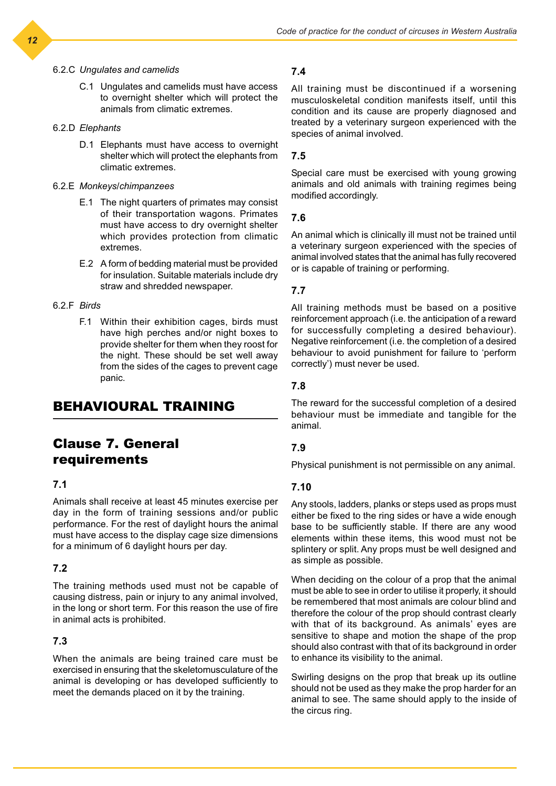#### 6.2.C *Ungulates and camelids*

C.1 Ungulates and camelids must have access to overnight shelter which will protect the animals from climatic extremes.

### 6.2.D *Elephants*

D.1 Elephants must have access to overnight shelter which will protect the elephants from climatic extremes.

#### 6.2.E *Monkeys/chimpanzees*

- E.1 The night quarters of primates may consist of their transportation wagons. Primates must have access to dry overnight shelter which provides protection from climatic extremes.
- E.2 A form of bedding material must be provided for insulation. Suitable materials include dry straw and shredded newspaper.

### 6.2.F *Birds*

F.1 Within their exhibition cages, birds must have high perches and/or night boxes to provide shelter for them when they roost for the night. These should be set well away from the sides of the cages to prevent cage panic.

# BEHAVIOURAL TRAINING

# Clause 7. General requirements

### **7.1**

Animals shall receive at least 45 minutes exercise per day in the form of training sessions and/or public performance. For the rest of daylight hours the animal must have access to the display cage size dimensions for a minimum of 6 daylight hours per day.

### **7.2**

The training methods used must not be capable of causing distress, pain or injury to any animal involved, in the long or short term. For this reason the use of fire in animal acts is prohibited.

### **7.3**

When the animals are being trained care must be exercised in ensuring that the skeletomusculature of the animal is developing or has developed sufficiently to meet the demands placed on it by the training.

### **7.4**

All training must be discontinued if a worsening musculoskeletal condition manifests itself, until this condition and its cause are properly diagnosed and treated by a veterinary surgeon experienced with the species of animal involved.

#### **7.5**

Special care must be exercised with young growing animals and old animals with training regimes being modified accordingly.

#### **7.6**

An animal which is clinically ill must not be trained until a veterinary surgeon experienced with the species of animal involved states that the animal has fully recovered or is capable of training or performing.

### **7.7**

All training methods must be based on a positive reinforcement approach (i.e. the anticipation of a reward for successfully completing a desired behaviour). Negative reinforcement (i.e. the completion of a desired behaviour to avoid punishment for failure to 'perform correctly') must never be used.

### **7.8**

The reward for the successful completion of a desired behaviour must be immediate and tangible for the animal.

### **7.9**

Physical punishment is not permissible on any animal.

### **7.10**

Any stools, ladders, planks or steps used as props must either be fixed to the ring sides or have a wide enough base to be sufficiently stable. If there are any wood elements within these items, this wood must not be splintery or split. Any props must be well designed and as simple as possible.

When deciding on the colour of a prop that the animal must be able to see in order to utilise it properly, it should be remembered that most animals are colour blind and therefore the colour of the prop should contrast clearly with that of its background. As animals' eyes are sensitive to shape and motion the shape of the prop should also contrast with that of its background in order to enhance its visibility to the animal.

Swirling designs on the prop that break up its outline should not be used as they make the prop harder for an animal to see. The same should apply to the inside of the circus ring.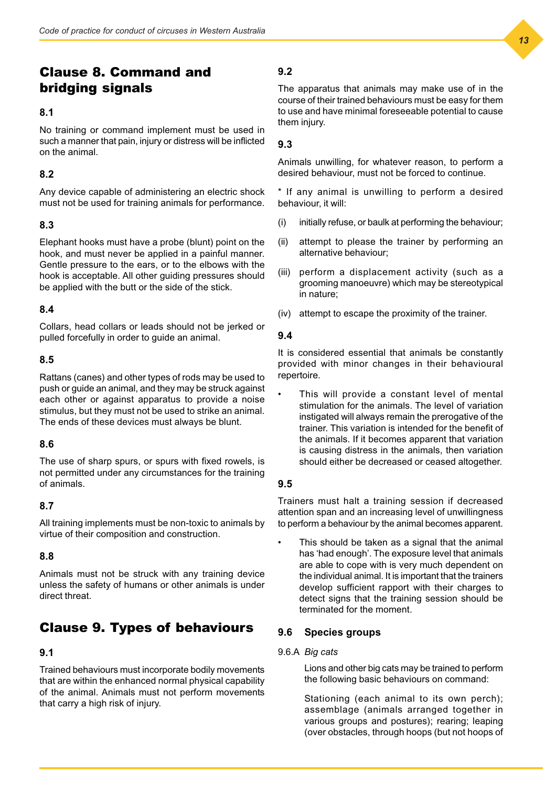# Clause 8. Command and bridging signals

### **8.1**

No training or command implement must be used in such a manner that pain, injury or distress will be inflicted on the animal.

### **8.2**

Any device capable of administering an electric shock must not be used for training animals for performance.

### **8.3**

Elephant hooks must have a probe (blunt) point on the hook, and must never be applied in a painful manner. Gentle pressure to the ears, or to the elbows with the hook is acceptable. All other guiding pressures should be applied with the butt or the side of the stick.

### **8.4**

Collars, head collars or leads should not be jerked or pulled forcefully in order to guide an animal.

### **8.5**

Rattans (canes) and other types of rods may be used to push or guide an animal, and they may be struck against each other or against apparatus to provide a noise stimulus, but they must not be used to strike an animal. The ends of these devices must always be blunt.

### **8.6**

The use of sharp spurs, or spurs with fixed rowels, is not permitted under any circumstances for the training of animals.

### **8.7**

All training implements must be non-toxic to animals by virtue of their composition and construction.

### **8.8**

Animals must not be struck with any training device unless the safety of humans or other animals is under direct threat.

# Clause 9. Types of behaviours

### **9.1**

Trained behaviours must incorporate bodily movements that are within the enhanced normal physical capability of the animal. Animals must not perform movements that carry a high risk of injury.

## **9.2**

The apparatus that animals may make use of in the course of their trained behaviours must be easy for them to use and have minimal foreseeable potential to cause them injury.

### **9.3**

Animals unwilling, for whatever reason, to perform a desired behaviour, must not be forced to continue.

\* If any animal is unwilling to perform a desired behaviour, it will:

- (i) initially refuse, or baulk at performing the behaviour;
- (ii) attempt to please the trainer by performing an alternative behaviour;
- (iii) perform a displacement activity (such as a grooming manoeuvre) which may be stereotypical in nature;
- (iv) attempt to escape the proximity of the trainer.

### **9.4**

It is considered essential that animals be constantly provided with minor changes in their behavioural repertoire.

This will provide a constant level of mental stimulation for the animals. The level of variation instigated will always remain the prerogative of the trainer. This variation is intended for the benefit of the animals. If it becomes apparent that variation is causing distress in the animals, then variation should either be decreased or ceased altogether.

### **9.5**

Trainers must halt a training session if decreased attention span and an increasing level of unwillingness to perform a behaviour by the animal becomes apparent.

This should be taken as a signal that the animal has 'had enough'. The exposure level that animals are able to cope with is very much dependent on the individual animal. It is important that the trainers develop sufficient rapport with their charges to detect signs that the training session should be terminated for the moment.

### **9.6 Species groups**

### 9.6.A *Big cats*

Lions and other big cats may be trained to perform the following basic behaviours on command:

Stationing (each animal to its own perch); assemblage (animals arranged together in various groups and postures); rearing; leaping (over obstacles, through hoops (but not hoops of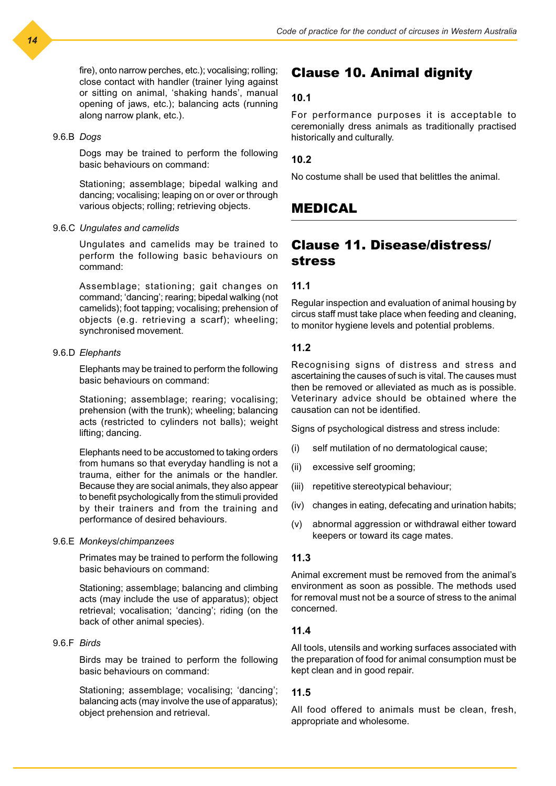fire), onto narrow perches, etc.); vocalising; rolling; close contact with handler (trainer lying against or sitting on animal, 'shaking hands', manual opening of jaws, etc.); balancing acts (running along narrow plank, etc.).

#### 9.6.B *Dogs*

Dogs may be trained to perform the following basic behaviours on command:

Stationing; assemblage; bipedal walking and dancing; vocalising; leaping on or over or through various objects; rolling; retrieving objects.

#### 9.6.C *Ungulates and camelids*

Ungulates and camelids may be trained to perform the following basic behaviours on command:

Assemblage; stationing; gait changes on command; 'dancing'; rearing; bipedal walking (not camelids); foot tapping; vocalising; prehension of objects (e.g. retrieving a scarf); wheeling; synchronised movement.

#### 9.6.D *Elephants*

Elephants may be trained to perform the following basic behaviours on command:

Stationing; assemblage; rearing; vocalising; prehension (with the trunk); wheeling; balancing acts (restricted to cylinders not balls); weight lifting; dancing.

Elephants need to be accustomed to taking orders from humans so that everyday handling is not a trauma, either for the animals or the handler. Because they are social animals, they also appear to benefit psychologically from the stimuli provided by their trainers and from the training and performance of desired behaviours.

#### 9.6.E *Monkeys/chimpanzees*

Primates may be trained to perform the following basic behaviours on command:

Stationing; assemblage; balancing and climbing acts (may include the use of apparatus); object retrieval; vocalisation; 'dancing'; riding (on the back of other animal species).

### 9.6.F *Birds*

Birds may be trained to perform the following basic behaviours on command:

Stationing; assemblage; vocalising; 'dancing'; balancing acts (may involve the use of apparatus); object prehension and retrieval.

### Clause 10. Animal dignity

### **10.1**

For performance purposes it is acceptable to ceremonially dress animals as traditionally practised historically and culturally.

### **10.2**

No costume shall be used that belittles the animal.

### MEDICAL

# Clause 11. Disease/distress/ stress

### **11.1**

Regular inspection and evaluation of animal housing by circus staff must take place when feeding and cleaning, to monitor hygiene levels and potential problems.

### **11.2**

Recognising signs of distress and stress and ascertaining the causes of such is vital. The causes must then be removed or alleviated as much as is possible. Veterinary advice should be obtained where the causation can not be identified.

Signs of psychological distress and stress include:

- (i) self mutilation of no dermatological cause;
- (ii) excessive self grooming;
- (iii) repetitive stereotypical behaviour;
- (iv) changes in eating, defecating and urination habits;
- (v) abnormal aggression or withdrawal either toward keepers or toward its cage mates.

### **11.3**

Animal excrement must be removed from the animal's environment as soon as possible. The methods used for removal must not be a source of stress to the animal concerned.

### **11.4**

All tools, utensils and working surfaces associated with the preparation of food for animal consumption must be kept clean and in good repair.

### **11.5**

All food offered to animals must be clean, fresh, appropriate and wholesome.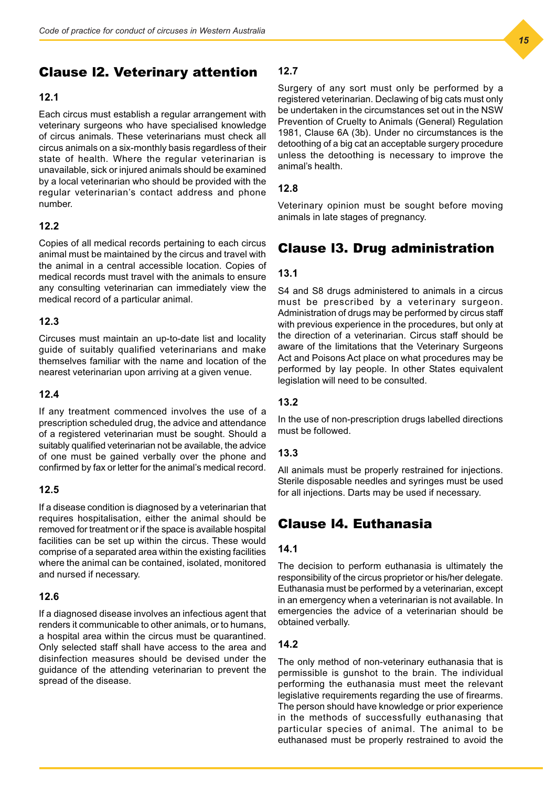# Clause l2. Veterinary attention

### **12.1**

Each circus must establish a regular arrangement with veterinary surgeons who have specialised knowledge of circus animals. These veterinarians must check all circus animals on a six-monthly basis regardless of their state of health. Where the regular veterinarian is unavailable, sick or injured animals should be examined by a local veterinarian who should be provided with the regular veterinarian's contact address and phone number.

### **12.2**

Copies of all medical records pertaining to each circus animal must be maintained by the circus and travel with the animal in a central accessible location. Copies of medical records must travel with the animals to ensure any consulting veterinarian can immediately view the medical record of a particular animal.

### **12.3**

Circuses must maintain an up-to-date list and locality guide of suitably qualified veterinarians and make themselves familiar with the name and location of the nearest veterinarian upon arriving at a given venue.

### **12.4**

If any treatment commenced involves the use of a prescription scheduled drug, the advice and attendance of a registered veterinarian must be sought. Should a suitably qualified veterinarian not be available, the advice of one must be gained verbally over the phone and confirmed by fax or letter for the animal's medical record.

### **12.5**

If a disease condition is diagnosed by a veterinarian that requires hospitalisation, either the animal should be removed for treatment or if the space is available hospital facilities can be set up within the circus. These would comprise of a separated area within the existing facilities where the animal can be contained, isolated, monitored and nursed if necessary.

### **12.6**

If a diagnosed disease involves an infectious agent that renders it communicable to other animals, or to humans, a hospital area within the circus must be quarantined. Only selected staff shall have access to the area and disinfection measures should be devised under the guidance of the attending veterinarian to prevent the spread of the disease.

### **12.7**

Surgery of any sort must only be performed by a registered veterinarian. Declawing of big cats must only be undertaken in the circumstances set out in the NSW Prevention of Cruelty to Animals (General) Regulation 1981, Clause 6A (3b). Under no circumstances is the detoothing of a big cat an acceptable surgery procedure unless the detoothing is necessary to improve the animal's health.

### **12.8**

Veterinary opinion must be sought before moving animals in late stages of pregnancy.

# Clause l3. Drug administration

### **13.1**

S4 and S8 drugs administered to animals in a circus must be prescribed by a veterinary surgeon. Administration of drugs may be performed by circus staff with previous experience in the procedures, but only at the direction of a veterinarian. Circus staff should be aware of the limitations that the Veterinary Surgeons Act and Poisons Act place on what procedures may be performed by lay people. In other States equivalent legislation will need to be consulted.

### **13.2**

In the use of non-prescription drugs labelled directions must be followed.

### **13.3**

All animals must be properly restrained for injections. Sterile disposable needles and syringes must be used for all injections. Darts may be used if necessary.

# Clause l4. Euthanasia

### **14.1**

The decision to perform euthanasia is ultimately the responsibility of the circus proprietor or his/her delegate. Euthanasia must be performed by a veterinarian, except in an emergency when a veterinarian is not available. In emergencies the advice of a veterinarian should be obtained verbally.

### **14.2**

The only method of non-veterinary euthanasia that is permissible is gunshot to the brain. The individual performing the euthanasia must meet the relevant legislative requirements regarding the use of firearms. The person should have knowledge or prior experience in the methods of successfully euthanasing that particular species of animal. The animal to be euthanased must be properly restrained to avoid the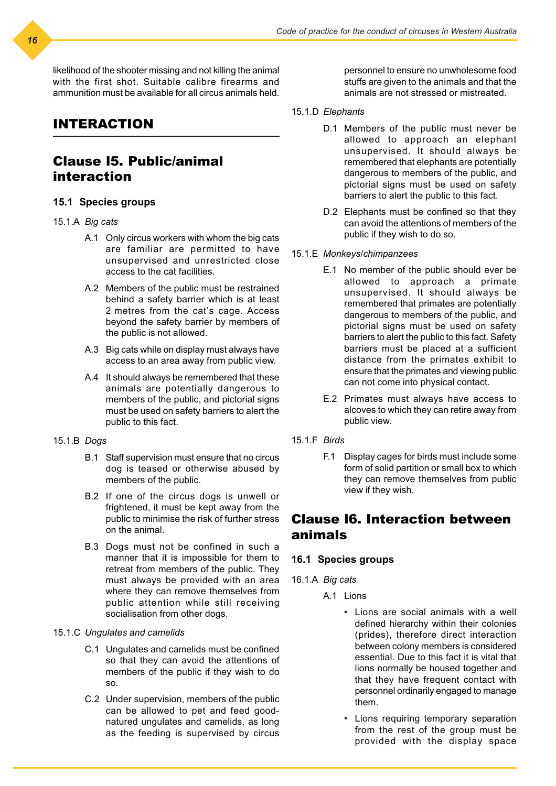likelihood of the shooter missing and not killing the animal with the first shot. Suitable calibre firearms and ammunition must be available for all circus animals held.

# INTERACTION

# Clause l5. Public/animal interaction

### **15.1 Species groups**

### 15.1.A *Big cats*

- A.1 Only circus workers with whom the big cats are familiar are permitted to have unsupervised and unrestricted close access to the cat facilities.
- A.2 Members of the public must be restrained behind a safety barrier which is at least 2 metres from the cat's cage. Access beyond the safety barrier by members of the public is not allowed.
- A.3 Big cats while on display must always have access to an area away from public view.
- A.4 It should always be remembered that these animals are potentially dangerous to members of the public, and pictorial signs must be used on safety barriers to alert the public to this fact.
- 15.1.B *Dogs*
	- B.1 Staff supervision must ensure that no circus dog is teased or otherwise abused by members of the public.
	- B.2 If one of the circus dogs is unwell or frightened, it must be kept away from the public to minimise the risk of further stress on the animal.
	- B.3 Dogs must not be confined in such a manner that it is impossible for them to retreat from members of the public. They must always be provided with an area where they can remove themselves from public attention while still receiving socialisation from other dogs.

### 15.1.C *Ungulates and camelids*

- C.1 Ungulates and camelids must be confined so that they can avoid the attentions of members of the public if they wish to do so.
- C.2 Under supervision, members of the public can be allowed to pet and feed goodnatured ungulates and camelids, as long as the feeding is supervised by circus

personnel to ensure no unwholesome food stuffs are given to the animals and that the animals are not stressed or mistreated.

- 15.1.D *Elephants*
	- D.1 Members of the public must never be allowed to approach an elephant unsupervised. It should always be remembered that elephants are potentially dangerous to members of the public, and pictorial signs must be used on safety barriers to alert the public to this fact.
	- D.2 Elephants must be confined so that they can avoid the attentions of members of the public if they wish to do so.
- 15.1.E *Monkeys/chimpanzees*
	- E.1 No member of the public should ever be allowed to approach a primate unsupervised. It should always be remembered that primates are potentially dangerous to members of the public, and pictorial signs must be used on safety barriers to alert the public to this fact. Safety barriers must be placed at a sufficient distance from the primates exhibit to ensure that the primates and viewing public can not come into physical contact.
	- E.2 Primates must always have access to alcoves to which they can retire away from public view.
- 15.1.F *Birds*
	- F.1 Display cages for birds must include some form of solid partition or small box to which they can remove themselves from public view if they wish.

# Clause l6. Interaction between animals

### **16.1 Species groups**

- 16.1.A *Big cats*
	- A.1 Lions
		- Lions are social animals with a well defined hierarchy within their colonies (prides), therefore direct interaction between colony members is considered essential. Due to this fact it is vital that lions normally be housed together and that they have frequent contact with personnel ordinarily engaged to manage them.
		- Lions requiring temporary separation from the rest of the group must be provided with the display space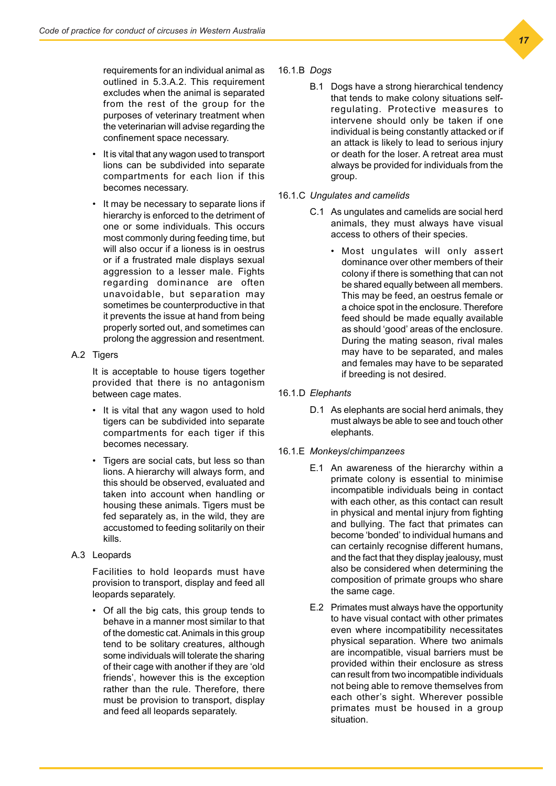requirements for an individual animal as outlined in 5.3.A.2. This requirement excludes when the animal is separated from the rest of the group for the purposes of veterinary treatment when the veterinarian will advise regarding the confinement space necessary.

- It is vital that any wagon used to transport lions can be subdivided into separate compartments for each lion if this becomes necessary.
- It may be necessary to separate lions if hierarchy is enforced to the detriment of one or some individuals. This occurs most commonly during feeding time, but will also occur if a lioness is in oestrus or if a frustrated male displays sexual aggression to a lesser male. Fights regarding dominance are often unavoidable, but separation may sometimes be counterproductive in that it prevents the issue at hand from being properly sorted out, and sometimes can prolong the aggression and resentment.

### A.2 Tigers

It is acceptable to house tigers together provided that there is no antagonism between cage mates.

- It is vital that any wagon used to hold tigers can be subdivided into separate compartments for each tiger if this becomes necessary.
- Tigers are social cats, but less so than lions. A hierarchy will always form, and this should be observed, evaluated and taken into account when handling or housing these animals. Tigers must be fed separately as, in the wild, they are accustomed to feeding solitarily on their kills.
- A.3 Leopards

Facilities to hold leopards must have provision to transport, display and feed all leopards separately.

• Of all the big cats, this group tends to behave in a manner most similar to that of the domestic cat. Animals in this group tend to be solitary creatures, although some individuals will tolerate the sharing of their cage with another if they are 'old friends', however this is the exception rather than the rule. Therefore, there must be provision to transport, display and feed all leopards separately.

### 16.1.B *Dogs*

- B.1 Dogs have a strong hierarchical tendency that tends to make colony situations selfregulating. Protective measures to intervene should only be taken if one individual is being constantly attacked or if an attack is likely to lead to serious injury or death for the loser. A retreat area must always be provided for individuals from the group.
- 16.1.C *Ungulates and camelids*
	- C.1 As ungulates and camelids are social herd animals, they must always have visual access to others of their species.
		- Most ungulates will only assert dominance over other members of their colony if there is something that can not be shared equally between all members. This may be feed, an oestrus female or a choice spot in the enclosure. Therefore feed should be made equally available as should 'good' areas of the enclosure. During the mating season, rival males may have to be separated, and males and females may have to be separated if breeding is not desired.

### 16.1.D *Elephants*

D.1 As elephants are social herd animals, they must always be able to see and touch other elephants.

### 16.1.E *Monkeys/chimpanzees*

- E.1 An awareness of the hierarchy within a primate colony is essential to minimise incompatible individuals being in contact with each other, as this contact can result in physical and mental injury from fighting and bullying. The fact that primates can become 'bonded' to individual humans and can certainly recognise different humans, and the fact that they display jealousy, must also be considered when determining the composition of primate groups who share the same cage.
- E.2 Primates must always have the opportunity to have visual contact with other primates even where incompatibility necessitates physical separation. Where two animals are incompatible, visual barriers must be provided within their enclosure as stress can result from two incompatible individuals not being able to remove themselves from each other's sight. Wherever possible primates must be housed in a group situation.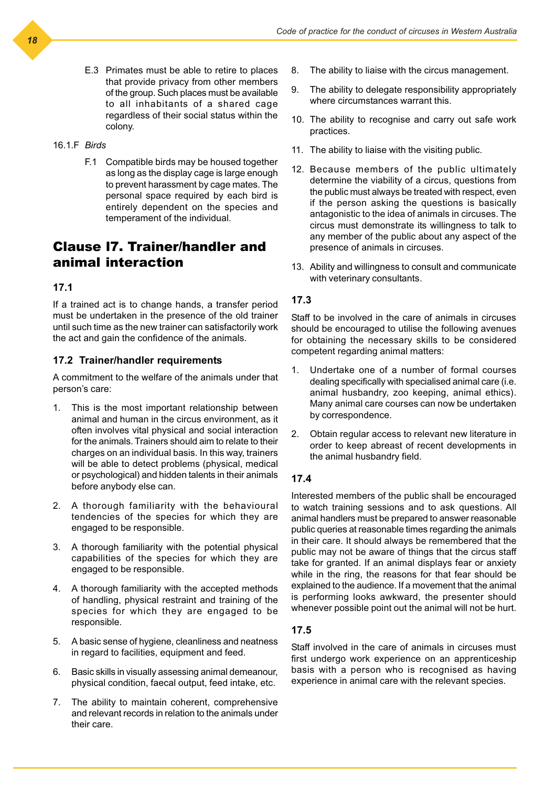E.3 Primates must be able to retire to places that provide privacy from other members of the group. Such places must be available to all inhabitants of a shared cage regardless of their social status within the colony.

#### 16.1.F *Birds*

F.1 Compatible birds may be housed together as long as the display cage is large enough to prevent harassment by cage mates. The personal space required by each bird is entirely dependent on the species and temperament of the individual.

# Clause l7. Trainer/handler and animal interaction

### **17.1**

If a trained act is to change hands, a transfer period must be undertaken in the presence of the old trainer until such time as the new trainer can satisfactorily work the act and gain the confidence of the animals.

### **17.2 Trainer/handler requirements**

A commitment to the welfare of the animals under that person's care:

- 1. This is the most important relationship between animal and human in the circus environment, as it often involves vital physical and social interaction for the animals. Trainers should aim to relate to their charges on an individual basis. In this way, trainers will be able to detect problems (physical, medical or psychological) and hidden talents in their animals before anybody else can.
- 2. A thorough familiarity with the behavioural tendencies of the species for which they are engaged to be responsible.
- 3. A thorough familiarity with the potential physical capabilities of the species for which they are engaged to be responsible.
- 4. A thorough familiarity with the accepted methods of handling, physical restraint and training of the species for which they are engaged to be responsible.
- 5. A basic sense of hygiene, cleanliness and neatness in regard to facilities, equipment and feed.
- 6. Basic skills in visually assessing animal demeanour, physical condition, faecal output, feed intake, etc.
- 7. The ability to maintain coherent, comprehensive and relevant records in relation to the animals under their care.
- 8. The ability to liaise with the circus management.
- 9. The ability to delegate responsibility appropriately where circumstances warrant this.
- 10. The ability to recognise and carry out safe work practices.
- 11. The ability to liaise with the visiting public.
- 12. Because members of the public ultimately determine the viability of a circus, questions from the public must always be treated with respect, even if the person asking the questions is basically antagonistic to the idea of animals in circuses. The circus must demonstrate its willingness to talk to any member of the public about any aspect of the presence of animals in circuses.
- 13. Ability and willingness to consult and communicate with veterinary consultants.

### **17.3**

Staff to be involved in the care of animals in circuses should be encouraged to utilise the following avenues for obtaining the necessary skills to be considered competent regarding animal matters:

- 1. Undertake one of a number of formal courses dealing specifically with specialised animal care (i.e. animal husbandry, zoo keeping, animal ethics). Many animal care courses can now be undertaken by correspondence.
- 2. Obtain regular access to relevant new literature in order to keep abreast of recent developments in the animal husbandry field.

### **17.4**

Interested members of the public shall be encouraged to watch training sessions and to ask questions. All animal handlers must be prepared to answer reasonable public queries at reasonable times regarding the animals in their care. It should always be remembered that the public may not be aware of things that the circus staff take for granted. If an animal displays fear or anxiety while in the ring, the reasons for that fear should be explained to the audience. If a movement that the animal is performing looks awkward, the presenter should whenever possible point out the animal will not be hurt.

### **17.5**

Staff involved in the care of animals in circuses must first undergo work experience on an apprenticeship basis with a person who is recognised as having experience in animal care with the relevant species.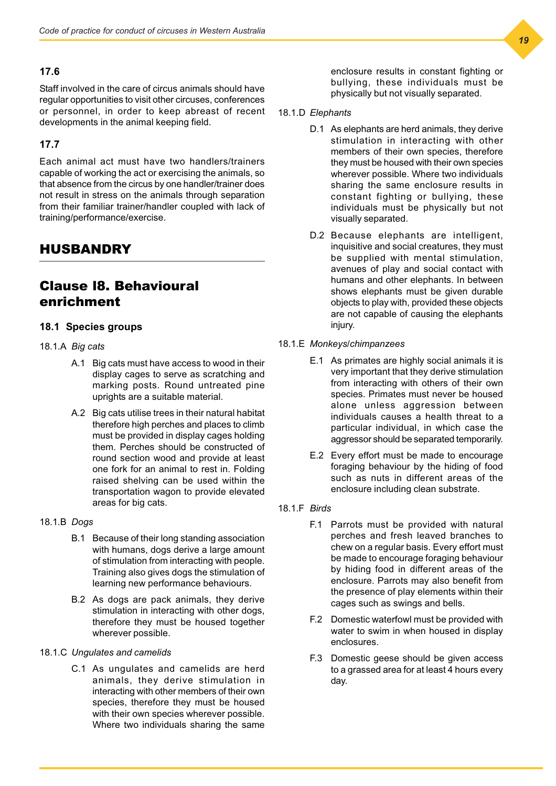### **17.6**

Staff involved in the care of circus animals should have regular opportunities to visit other circuses, conferences or personnel, in order to keep abreast of recent developments in the animal keeping field.

### **17.7**

Each animal act must have two handlers/trainers capable of working the act or exercising the animals, so that absence from the circus by one handler/trainer does not result in stress on the animals through separation from their familiar trainer/handler coupled with lack of training/performance/exercise.

# HUSBANDRY

# Clause l8. Behavioural enrichment

### **18.1 Species groups**

### 18.1.A *Big cats*

- A.1 Big cats must have access to wood in their display cages to serve as scratching and marking posts. Round untreated pine uprights are a suitable material.
- A.2 Big cats utilise trees in their natural habitat therefore high perches and places to climb must be provided in display cages holding them. Perches should be constructed of round section wood and provide at least one fork for an animal to rest in. Folding raised shelving can be used within the transportation wagon to provide elevated areas for big cats.

### 18.1.B *Dogs*

- B.1 Because of their long standing association with humans, dogs derive a large amount of stimulation from interacting with people. Training also gives dogs the stimulation of learning new performance behaviours.
- B.2 As dogs are pack animals, they derive stimulation in interacting with other dogs. therefore they must be housed together wherever possible.

### 18.1.C *Ungulates and camelids*

C.1 As ungulates and camelids are herd animals, they derive stimulation in interacting with other members of their own species, therefore they must be housed with their own species wherever possible. Where two individuals sharing the same

enclosure results in constant fighting or bullying, these individuals must be physically but not visually separated.

#### 18.1.D *Elephants*

- D.1 As elephants are herd animals, they derive stimulation in interacting with other members of their own species, therefore they must be housed with their own species wherever possible. Where two individuals sharing the same enclosure results in constant fighting or bullying, these individuals must be physically but not visually separated.
- D.2 Because elephants are intelligent, inquisitive and social creatures, they must be supplied with mental stimulation, avenues of play and social contact with humans and other elephants. In between shows elephants must be given durable objects to play with, provided these objects are not capable of causing the elephants injury.

### 18.1.E *Monkeys/chimpanzees*

- E.1 As primates are highly social animals it is very important that they derive stimulation from interacting with others of their own species. Primates must never be housed alone unless aggression between individuals causes a health threat to a particular individual, in which case the aggressor should be separated temporarily.
- E.2 Every effort must be made to encourage foraging behaviour by the hiding of food such as nuts in different areas of the enclosure including clean substrate.
- 18.1.F *Birds*
	- F.1 Parrots must be provided with natural perches and fresh leaved branches to chew on a regular basis. Every effort must be made to encourage foraging behaviour by hiding food in different areas of the enclosure. Parrots may also benefit from the presence of play elements within their cages such as swings and bells.
	- F.2 Domestic waterfowl must be provided with water to swim in when housed in display enclosures.
	- F.3 Domestic geese should be given access to a grassed area for at least 4 hours every day.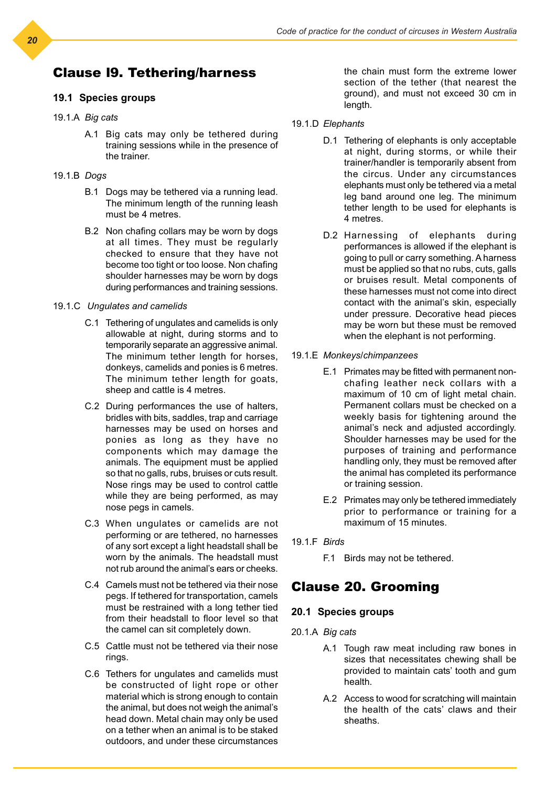# Clause l9. Tethering/harness

### **19.1 Species groups**

### 19.1.A *Big cats*

A.1 Big cats may only be tethered during training sessions while in the presence of the trainer.

#### 19.1.B *Dogs*

- B.1 Dogs may be tethered via a running lead. The minimum length of the running leash must be 4 metres.
- B.2 Non chafing collars may be worn by dogs at all times. They must be regularly checked to ensure that they have not become too tight or too loose. Non chafing shoulder harnesses may be worn by dogs during performances and training sessions.

#### 19.1.C *Ungulates and camelids*

- C.1 Tethering of ungulates and camelids is only allowable at night, during storms and to temporarily separate an aggressive animal. The minimum tether length for horses, donkeys, camelids and ponies is 6 metres. The minimum tether length for goats, sheep and cattle is 4 metres.
- C.2 During performances the use of halters, bridles with bits, saddles, trap and carriage harnesses may be used on horses and ponies as long as they have no components which may damage the animals. The equipment must be applied so that no galls, rubs, bruises or cuts result. Nose rings may be used to control cattle while they are being performed, as may nose pegs in camels.
- C.3 When ungulates or camelids are not performing or are tethered, no harnesses of any sort except a light headstall shall be worn by the animals. The headstall must not rub around the animal's ears or cheeks.
- C.4 Camels must not be tethered via their nose pegs. If tethered for transportation, camels must be restrained with a long tether tied from their headstall to floor level so that the camel can sit completely down.
- C.5 Cattle must not be tethered via their nose rings.
- C.6 Tethers for ungulates and camelids must be constructed of light rope or other material which is strong enough to contain the animal, but does not weigh the animal's head down. Metal chain may only be used on a tether when an animal is to be staked outdoors, and under these circumstances

the chain must form the extreme lower section of the tether (that nearest the ground), and must not exceed 30 cm in length.

- 19.1.D *Elephants*
	- D.1 Tethering of elephants is only acceptable at night, during storms, or while their trainer/handler is temporarily absent from the circus. Under any circumstances elephants must only be tethered via a metal leg band around one leg. The minimum tether length to be used for elephants is 4 metres.
	- D.2 Harnessing of elephants during performances is allowed if the elephant is going to pull or carry something. A harness must be applied so that no rubs, cuts, galls or bruises result. Metal components of these harnesses must not come into direct contact with the animal's skin, especially under pressure. Decorative head pieces may be worn but these must be removed when the elephant is not performing.
- 19.1.E *Monkeys/chimpanzees*
	- E.1 Primates may be fitted with permanent nonchafing leather neck collars with a maximum of 10 cm of light metal chain. Permanent collars must be checked on a weekly basis for tightening around the animal's neck and adjusted accordingly. Shoulder harnesses may be used for the purposes of training and performance handling only, they must be removed after the animal has completed its performance or training session.
	- E.2 Primates may only be tethered immediately prior to performance or training for a maximum of 15 minutes.

### 19.1.F *Birds*

F.1 Birds may not be tethered.

# Clause 20. Grooming

### **20.1 Species groups**

- 20.1.A *Big cats*
	- A.1 Tough raw meat including raw bones in sizes that necessitates chewing shall be provided to maintain cats' tooth and gum health.
	- A.2 Access to wood for scratching will maintain the health of the cats' claws and their sheaths.